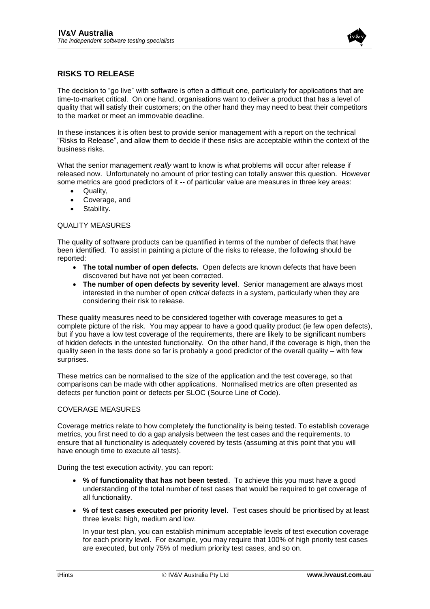

# **RISKS TO RELEASE**

The decision to "go live" with software is often a difficult one, particularly for applications that are time-to-market critical. On one hand, organisations want to deliver a product that has a level of quality that will satisfy their customers; on the other hand they may need to beat their competitors to the market or meet an immovable deadline.

In these instances it is often best to provide senior management with a report on the technical "Risks to Release", and allow them to decide if these risks are acceptable within the context of the business risks.

What the senior management *really* want to know is what problems will occur after release if released now. Unfortunately no amount of prior testing can totally answer this question. However some metrics are good predictors of it -- of particular value are measures in three key areas:

- Quality,
- Coverage, and
- Stability.

### QUALITY MEASURES

The quality of software products can be quantified in terms of the number of defects that have been identified. To assist in painting a picture of the risks to release, the following should be reported:

- **The total number of open defects.** Open defects are known defects that have been discovered but have not yet been corrected.
- **The number of open defects by severity level**. Senior management are always most interested in the number of open *critical* defects in a system, particularly when they are considering their risk to release.

These quality measures need to be considered together with coverage measures to get a complete picture of the risk. You may appear to have a good quality product (ie few open defects), but if you have a low test coverage of the requirements, there are likely to be significant numbers of hidden defects in the untested functionality. On the other hand, if the coverage is high, then the quality seen in the tests done so far is probably a good predictor of the overall quality – with few surprises.

These metrics can be normalised to the size of the application and the test coverage, so that comparisons can be made with other applications. Normalised metrics are often presented as defects per function point or defects per SLOC (Source Line of Code).

## COVERAGE MEASURES

Coverage metrics relate to how completely the functionality is being tested. To establish coverage metrics, you first need to do a gap analysis between the test cases and the requirements, to ensure that all functionality is adequately covered by tests (assuming at this point that you will have enough time to execute all tests).

During the test execution activity, you can report:

- **% of functionality that has not been tested**. To achieve this you must have a good understanding of the total number of test cases that would be required to get coverage of all functionality.
- **% of test cases executed per priority level**. Test cases should be prioritised by at least three levels: high, medium and low.

In your test plan, you can establish minimum acceptable levels of test execution coverage for each priority level. For example, you may require that 100% of high priority test cases are executed, but only 75% of medium priority test cases, and so on.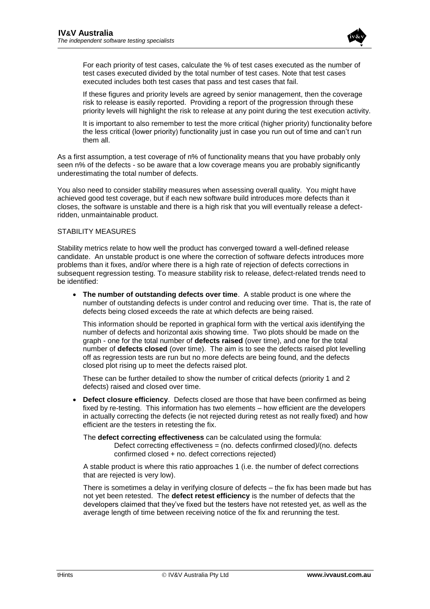

For each priority of test cases, calculate the % of test cases executed as the number of test cases executed divided by the total number of test cases. Note that test cases executed includes both test cases that pass and test cases that fail.

If these figures and priority levels are agreed by senior management, then the coverage risk to release is easily reported. Providing a report of the progression through these priority levels will highlight the risk to release at any point during the test execution activity.

It is important to also remember to test the more critical (higher priority) functionality before the less critical (lower priority) functionality just in case you run out of time and can't run them all.

As a first assumption, a test coverage of n% of functionality means that you have probably only seen n% of the defects - so be aware that a low coverage means you are probably significantly underestimating the total number of defects.

You also need to consider stability measures when assessing overall quality. You might have achieved good test coverage, but if each new software build introduces more defects than it closes, the software is unstable and there is a high risk that you will eventually release a defectridden, unmaintainable product.

#### STABILITY MEASURES

Stability metrics relate to how well the product has converged toward a well-defined release candidate. An unstable product is one where the correction of software defects introduces more problems than it fixes, and/or where there is a high rate of rejection of defects corrections in subsequent regression testing. To measure stability risk to release, defect-related trends need to be identified:

 **The number of outstanding defects over time**. A stable product is one where the number of outstanding defects is under control and reducing over time. That is, the rate of defects being closed exceeds the rate at which defects are being raised.

This information should be reported in graphical form with the vertical axis identifying the number of defects and horizontal axis showing time. Two plots should be made on the graph - one for the total number of **defects raised** (over time), and one for the total number of **defects closed** (over time). The aim is to see the defects raised plot levelling off as regression tests are run but no more defects are being found, and the defects closed plot rising up to meet the defects raised plot.

These can be further detailed to show the number of critical defects (priority 1 and 2 defects) raised and closed over time.

 **Defect closure efficiency**. Defects closed are those that have been confirmed as being fixed by re-testing. This information has two elements – how efficient are the developers in actually correcting the defects (ie not rejected during retest as not really fixed) and how efficient are the testers in retesting the fix.

The **defect correcting effectiveness** can be calculated using the formula: Defect correcting effectiveness = (no. defects confirmed closed)/(no. defects confirmed closed + no. defect corrections rejected)

A stable product is where this ratio approaches 1 (i.e. the number of defect corrections that are rejected is very low).

There is sometimes a delay in verifying closure of defects – the fix has been made but has not yet been retested. The **defect retest efficiency** is the number of defects that the developers claimed that they've fixed but the testers have not retested yet, as well as the average length of time between receiving notice of the fix and rerunning the test.